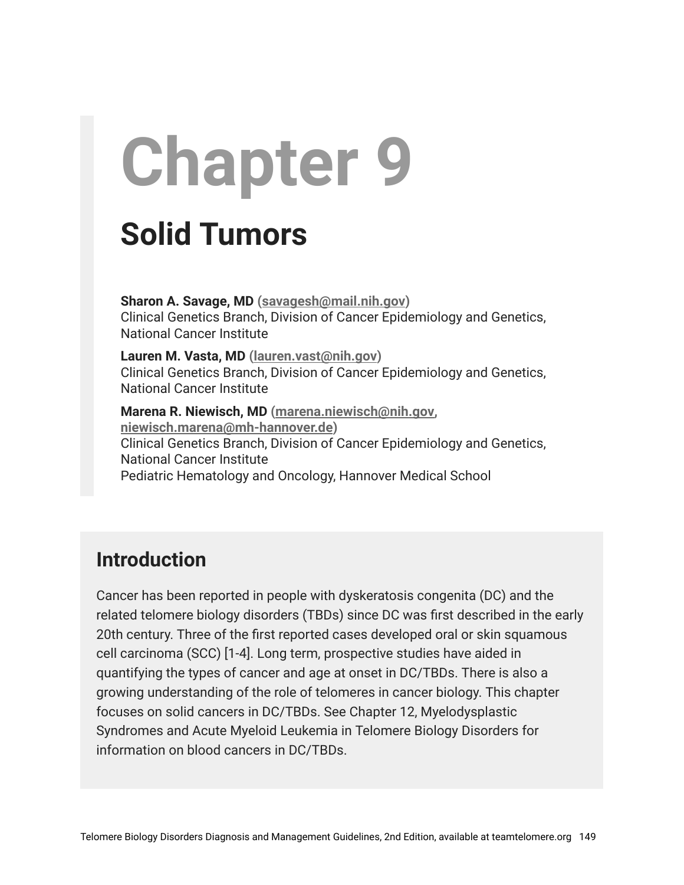# **Chapter 9**

## **Solid Tumors**

**Sharon A. Savage, MD ([savagesh@mail.nih.gov\)](mailto:savagesh@mail.nih.gov)** Clinical Genetics Branch, Division of Cancer Epidemiology and Genetics, National Cancer Institute

**Lauren M. Vasta, MD [\(lauren.vast@nih.gov\)](mailto:lauren.vast@nih.gov)** Clinical Genetics Branch, Division of Cancer Epidemiology and Genetics, National Cancer Institute

**Marena R. Niewisch, MD ([marena.niewisch@nih.gov,](mailto:marena.niewisch@nih.gov) [niewisch.marena@mh-hannover.de](mailto:niewisch.marena@mh-hannover.de))** Clinical Genetics Branch, Division of Cancer Epidemiology and Genetics, National Cancer Institute Pediatric Hematology and Oncology, Hannover Medical School

## **Introduction**

Cancer has been reported in people with dyskeratosis congenita (DC) and the related telomere biology disorders (TBDs) since DC was first described in the early 20th century. Three of the first reported cases developed oral or skin squamous cell carcinoma (SCC) [1-4]. Long term, prospective studies have aided in quantifying the types of cancer and age at onset in DC/TBDs. There is also a growing understanding of the role of telomeres in cancer biology. This chapter focuses on solid cancers in DC/TBDs. See Chapter 12, Myelodysplastic Syndromes and Acute Myeloid Leukemia in Telomere Biology Disorders for information on blood cancers in DC/TBDs.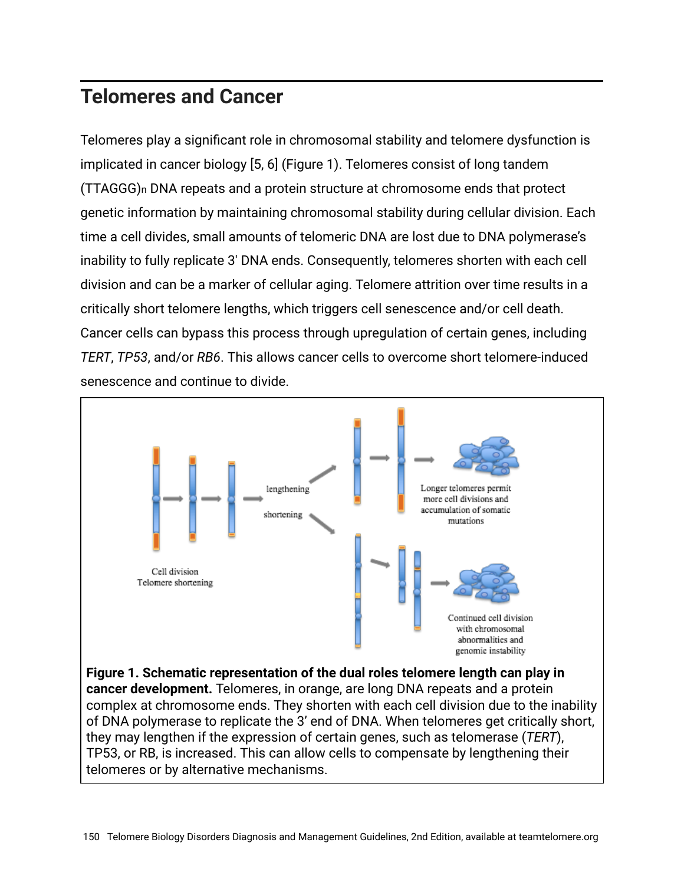## **Telomeres and Cancer**

Telomeres play a significant role in chromosomal stability and telomere dysfunction is implicated in cancer biology [5, 6] (Figure 1). Telomeres consist of long tandem (TTAGGG)n DNA repeats and a protein structure at chromosome ends that protect genetic information by maintaining chromosomal stability during cellular division. Each time a cell divides, small amounts of telomeric DNA are lost due to DNA polymerase's inability to fully replicate 3′ DNA ends. Consequently, telomeres shorten with each cell division and can be a marker of cellular aging. Telomere attrition over time results in a critically short telomere lengths, which triggers cell senescence and/or cell death. Cancer cells can bypass this process through upregulation of certain genes, including *TERT*, *TP53*, and/or *RB6*. This allows cancer cells to overcome short telomere-induced senescence and continue to divide.



complex at chromosome ends. They shorten with each cell division due to the inability of DNA polymerase to replicate the 3' end of DNA. When telomeres get critically short, they may lengthen if the expression of certain genes, such as telomerase (*TERT*), TP53, or RB, is increased. This can allow cells to compensate by lengthening their telomeres or by alternative mechanisms.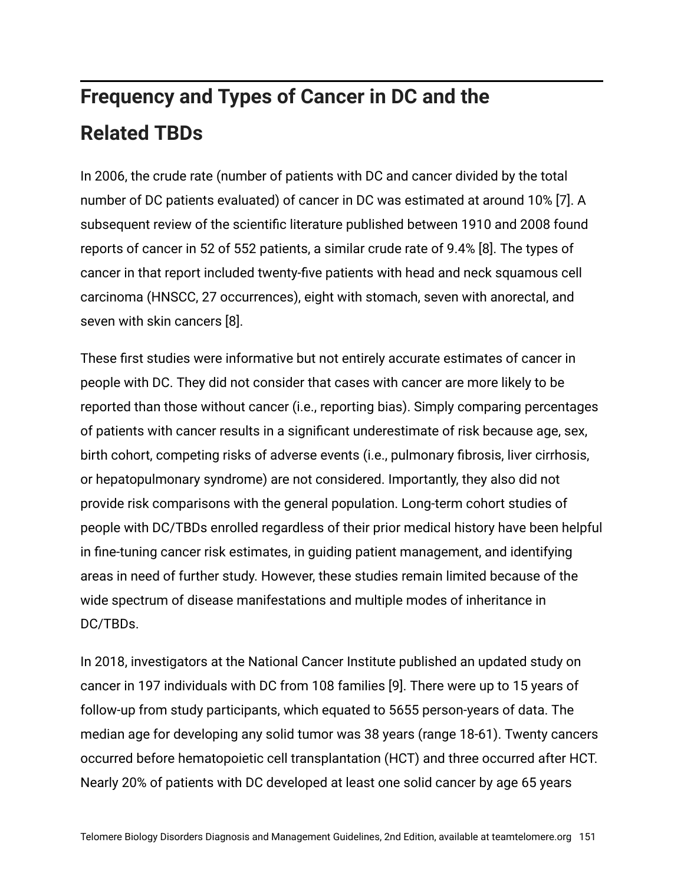## **Frequency and Types of Cancer in DC and the Related TBDs**

In 2006, the crude rate (number of patients with DC and cancer divided by the total number of DC patients evaluated) of cancer in DC was estimated at around 10% [7]. A subsequent review of the scientific literature published between 1910 and 2008 found reports of cancer in 52 of 552 patients, a similar crude rate of 9.4% [8]. The types of cancer in that report included twenty-five patients with head and neck squamous cell carcinoma (HNSCC, 27 occurrences), eight with stomach, seven with anorectal, and seven with skin cancers [8].

These first studies were informative but not entirely accurate estimates of cancer in people with DC. They did not consider that cases with cancer are more likely to be reported than those without cancer (i.e., reporting bias). Simply comparing percentages of patients with cancer results in a significant underestimate of risk because age, sex, birth cohort, competing risks of adverse events (i.e., pulmonary fibrosis, liver cirrhosis, or hepatopulmonary syndrome) are not considered. Importantly, they also did not provide risk comparisons with the general population. Long-term cohort studies of people with DC/TBDs enrolled regardless of their prior medical history have been helpful in fine-tuning cancer risk estimates, in guiding patient management, and identifying areas in need of further study. However, these studies remain limited because of the wide spectrum of disease manifestations and multiple modes of inheritance in DC/TBDs.

In 2018, investigators at the National Cancer Institute published an updated study on cancer in 197 individuals with DC from 108 families [9]. There were up to 15 years of follow-up from study participants, which equated to 5655 person-years of data. The median age for developing any solid tumor was 38 years (range 18-61). Twenty cancers occurred before hematopoietic cell transplantation (HCT) and three occurred after HCT. Nearly 20% of patients with DC developed at least one solid cancer by age 65 years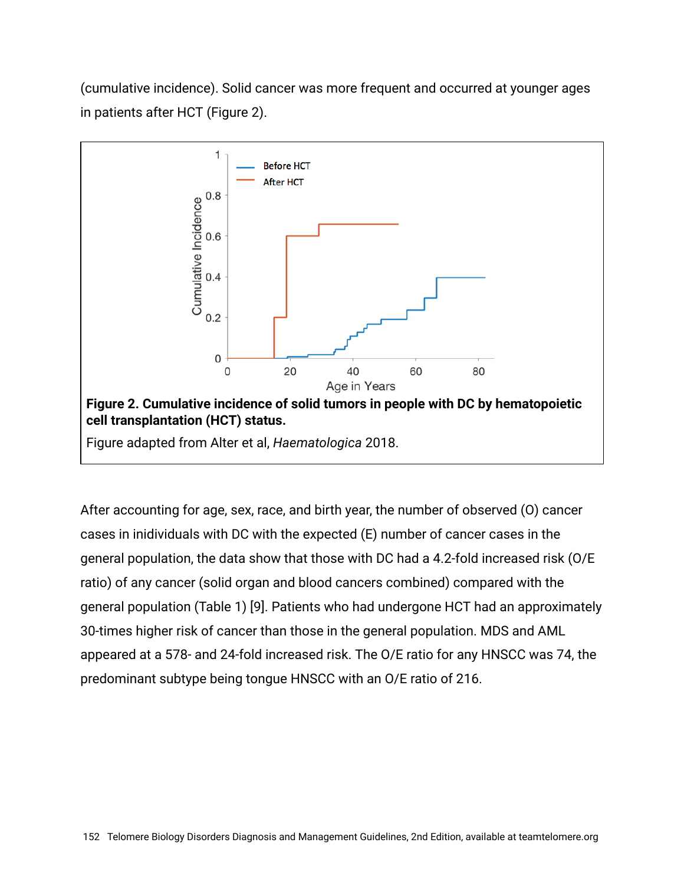(cumulative incidence). Solid cancer was more frequent and occurred at younger ages in patients after HCT (Figure 2).



After accounting for age, sex, race, and birth year, the number of observed (O) cancer cases in inidividuals with DC with the expected (E) number of cancer cases in the general population, the data show that those with DC had a 4.2-fold increased risk (O/E ratio) of any cancer (solid organ and blood cancers combined) compared with the general population (Table 1) [9]. Patients who had undergone HCT had an approximately 30-times higher risk of cancer than those in the general population. MDS and AML appeared at a 578- and 24-fold increased risk. The O/E ratio for any HNSCC was 74, the predominant subtype being tongue HNSCC with an O/E ratio of 216.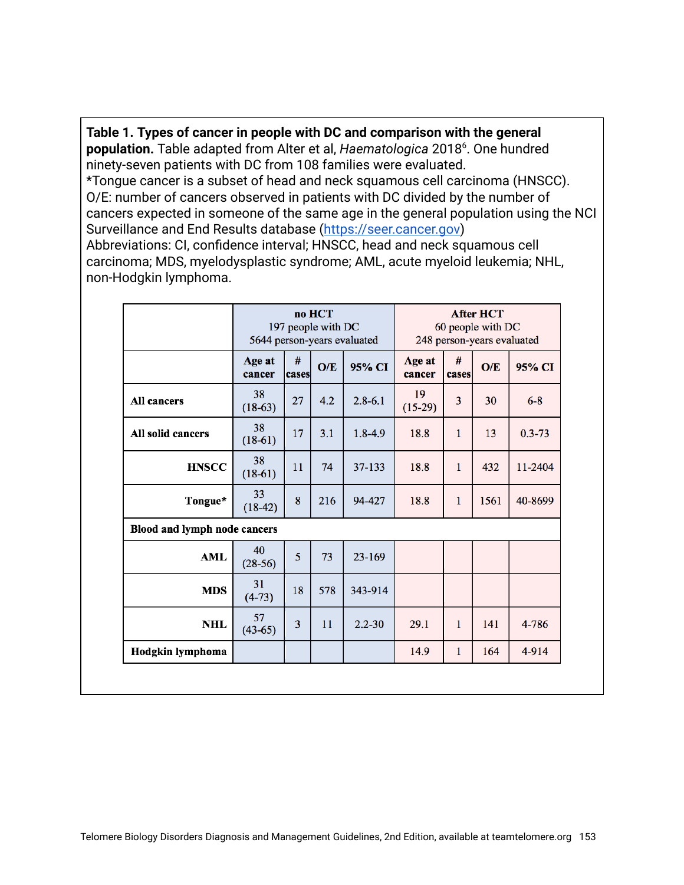**Table 1. Types of cancer in people with DC and comparison with the general** population. Table adapted from Alter et al, Haematologica 2018<sup>6</sup>. One hundred ninety-seven patients with DC from 108 families were evaluated. \*Tongue cancer is a subset of head and neck squamous cell carcinoma (HNSCC). O/E: number of cancers observed in patients with DC divided by the number of cancers expected in someone of the same age in the general population using the NCI Surveillance and End Results database ([https://seer.cancer.gov](https://seer.cancer.gov/)) Abbreviations: CI, confidence interval; HNSCC, head and neck squamous cell carcinoma; MDS, myelodysplastic syndrome; AML, acute myeloid leukemia; NHL, non-Hodgkin lymphoma.

|                              | no HCT<br>197 people with DC<br>5644 person-years evaluated |            |     | <b>After HCT</b><br>60 people with DC<br>248 person-years evaluated |                  |                |      |            |
|------------------------------|-------------------------------------------------------------|------------|-----|---------------------------------------------------------------------|------------------|----------------|------|------------|
|                              | Age at<br>cancer                                            | #<br>cases | O/E | 95% CI                                                              | Age at<br>cancer | #<br>cases     | O/E  | 95% CI     |
| All cancers                  | 38<br>$(18-63)$                                             | 27         | 4.2 | $2.8 - 6.1$                                                         | 19<br>$(15-29)$  | $\overline{3}$ | 30   | $6 - 8$    |
| All solid cancers            | 38<br>$(18-61)$                                             | 17         | 3.1 | $1.8 - 4.9$                                                         | 18.8             | 1              | 13   | $0.3 - 73$ |
| <b>HNSCC</b>                 | 38<br>$(18-61)$                                             | 11         | 74  | 37-133                                                              | 18.8             | 1              | 432  | 11-2404    |
| Tongue*                      | 33<br>$(18-42)$                                             | 8          | 216 | 94-427                                                              | 18.8             | 1              | 1561 | 40-8699    |
| Blood and lymph node cancers |                                                             |            |     |                                                                     |                  |                |      |            |
| <b>AML</b>                   | 40<br>$(28-56)$                                             | 5          | 73  | $23 - 169$                                                          |                  |                |      |            |
| <b>MDS</b>                   | 31<br>$(4-73)$                                              | 18         | 578 | 343-914                                                             |                  |                |      |            |
| <b>NHL</b>                   | 57<br>$(43-65)$                                             | 3          | 11  | $2.2 - 30$                                                          | 29.1             | 1              | 141  | 4-786      |
| Hodgkin lymphoma             |                                                             |            |     |                                                                     | 14.9             | 1              | 164  | 4-914      |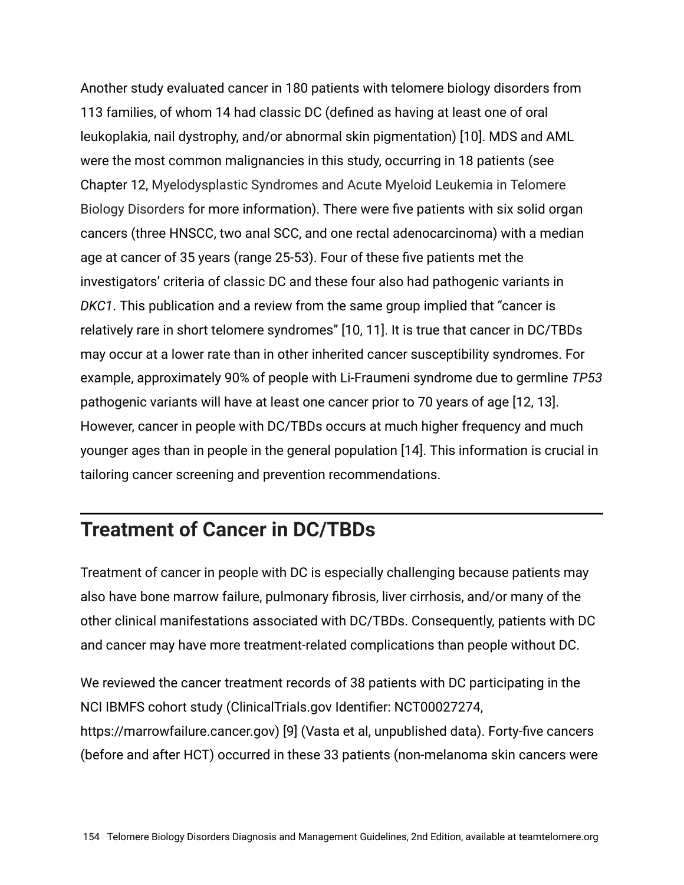Another study evaluated cancer in 180 patients with telomere biology disorders from 113 families, of whom 14 had classic DC (defined as having at least one of oral leukoplakia, nail dystrophy, and/or abnormal skin pigmentation) [10]. MDS and AML were the most common malignancies in this study, occurring in 18 patients (see Chapter 12, Myelodysplastic Syndromes and Acute Myeloid Leukemia in Telomere Biology Disorders for more information). There were five patients with six solid organ cancers (three HNSCC, two anal SCC, and one rectal adenocarcinoma) with a median age at cancer of 35 years (range 25-53). Four of these five patients met the investigators' criteria of classic DC and these four also had pathogenic variants in *DKC1*. This publication and a review from the same group implied that "cancer is relatively rare in short telomere syndromes" [10, 11]. It is true that cancer in DC/TBDs may occur at a lower rate than in other inherited cancer susceptibility syndromes. For example, approximately 90% of people with Li-Fraumeni syndrome due to germline *TP53* pathogenic variants will have at least one cancer prior to 70 years of age [12, 13]. However, cancer in people with DC/TBDs occurs at much higher frequency and much younger ages than in people in the general population [14]. This information is crucial in tailoring cancer screening and prevention recommendations.

### **Treatment of Cancer in DC/TBDs**

Treatment of cancer in people with DC is especially challenging because patients may also have bone marrow failure, pulmonary fibrosis, liver cirrhosis, and/or many of the other clinical manifestations associated with DC/TBDs. Consequently, patients with DC and cancer may have more treatment-related complications than people without DC.

We reviewed the cancer treatment records of 38 patients with DC participating in the NCI IBMFS cohort study (ClinicalTrials.gov Identifier: NCT00027274, https://marrowfailure.cancer.gov) [9] (Vasta et al, unpublished data). Forty-five cancers (before and after HCT) occurred in these 33 patients (non-melanoma skin cancers were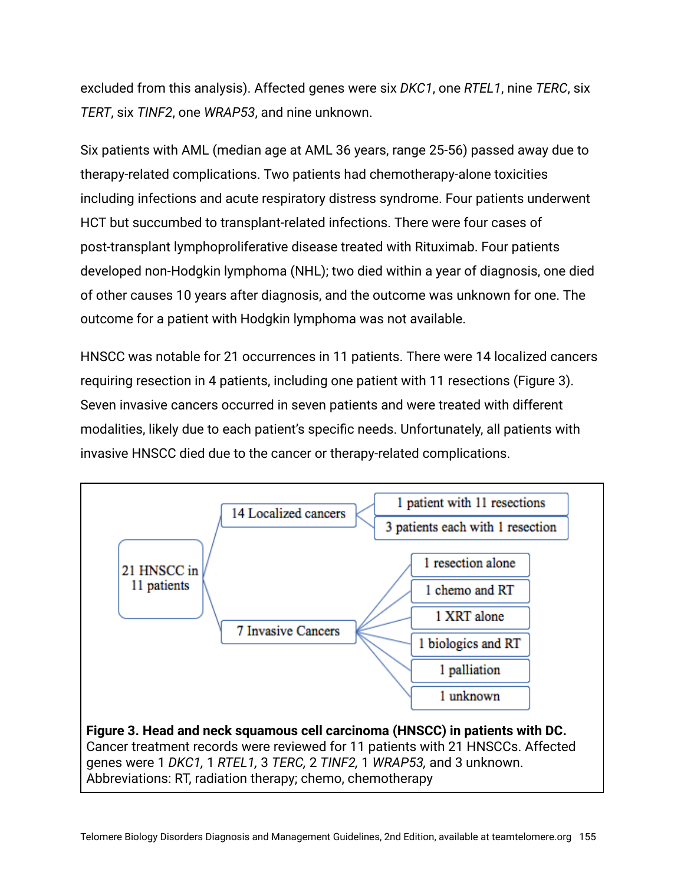excluded from this analysis). Affected genes were six *DKC1*, one *RTEL1*, nine *TERC*, six *TERT*, six *TINF2*, one *WRAP53*, and nine unknown.

Six patients with AML (median age at AML 36 years, range 25-56) passed away due to therapy-related complications. Two patients had chemotherapy-alone toxicities including infections and acute respiratory distress syndrome. Four patients underwent HCT but succumbed to transplant-related infections. There were four cases of post-transplant lymphoproliferative disease treated with Rituximab. Four patients developed non-Hodgkin lymphoma (NHL); two died within a year of diagnosis, one died of other causes 10 years after diagnosis, and the outcome was unknown for one. The outcome for a patient with Hodgkin lymphoma was not available.

HNSCC was notable for 21 occurrences in 11 patients. There were 14 localized cancers requiring resection in 4 patients, including one patient with 11 resections (Figure 3). Seven invasive cancers occurred in seven patients and were treated with different modalities, likely due to each patient's specific needs. Unfortunately, all patients with invasive HNSCC died due to the cancer or therapy-related complications.



Abbreviations: RT, radiation therapy; chemo, chemotherapy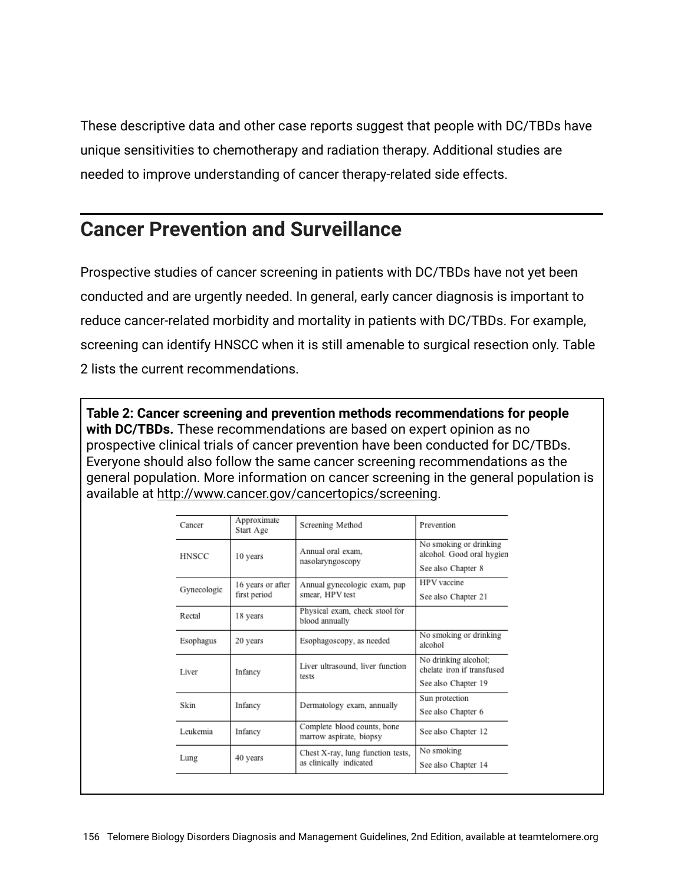These descriptive data and other case reports suggest that people with DC/TBDs have unique sensitivities to chemotherapy and radiation therapy. Additional studies are needed to improve understanding of cancer therapy-related side effects.

## **Cancer Prevention and Surveillance**

Prospective studies of cancer screening in patients with DC/TBDs have not yet been conducted and are urgently needed. In general, early cancer diagnosis is important to reduce cancer-related morbidity and mortality in patients with DC/TBDs. For example, screening can identify HNSCC when it is still amenable to surgical resection only. Table 2 lists the current recommendations.

**Table 2: Cancer screening and prevention methods recommendations for people with DC/TBDs.** These recommendations are based on expert opinion as no prospective clinical trials of cancer prevention have been conducted for DC/TBDs. Everyone should also follow the same cancer screening recommendations as the general population. More information on cancer screening in the general population is available at [http://www.cancer.gov/cancertopics/screening.](http://www.cancer.gov/cancertopics/screening)

| Cancer       | Approximate<br>Start Age | Screening Method                                       | Prevention                                          |  |
|--------------|--------------------------|--------------------------------------------------------|-----------------------------------------------------|--|
| <b>HNSCC</b> | 10 years                 | Annual oral exam.<br>nasolaryngoscopy                  | No smoking or drinking<br>alcohol. Good oral hygien |  |
|              |                          |                                                        | See also Chapter 8                                  |  |
| Gynecologic  | 16 years or after        | Annual gynecologic exam, pap                           | HPV vaccine                                         |  |
|              | first period             | smear, HPV test                                        | See also Chapter 21                                 |  |
| Rectal       | 18 years                 | Physical exam, check stool for<br>blood annually       |                                                     |  |
| Esophagus    | 20 years                 | Esophagoscopy, as needed                               | No smoking or drinking<br>alcohol                   |  |
| Liver        | Infancy                  | Liver ultrasound, liver function                       | No drinking alcohol;<br>chelate iron if transfused  |  |
|              |                          | tests                                                  | See also Chapter 19                                 |  |
| Skin         | Infancy                  |                                                        | Sun protection                                      |  |
|              |                          | Dermatology exam, annually                             | See also Chapter 6                                  |  |
| Leukemia     | Infancy                  | Complete blood counts, bone<br>marrow aspirate, biopsy | See also Chapter 12                                 |  |
|              |                          | Chest X-ray, lung function tests,                      | No smoking                                          |  |
| Lung         | 40 years                 | as clinically indicated                                | See also Chapter 14                                 |  |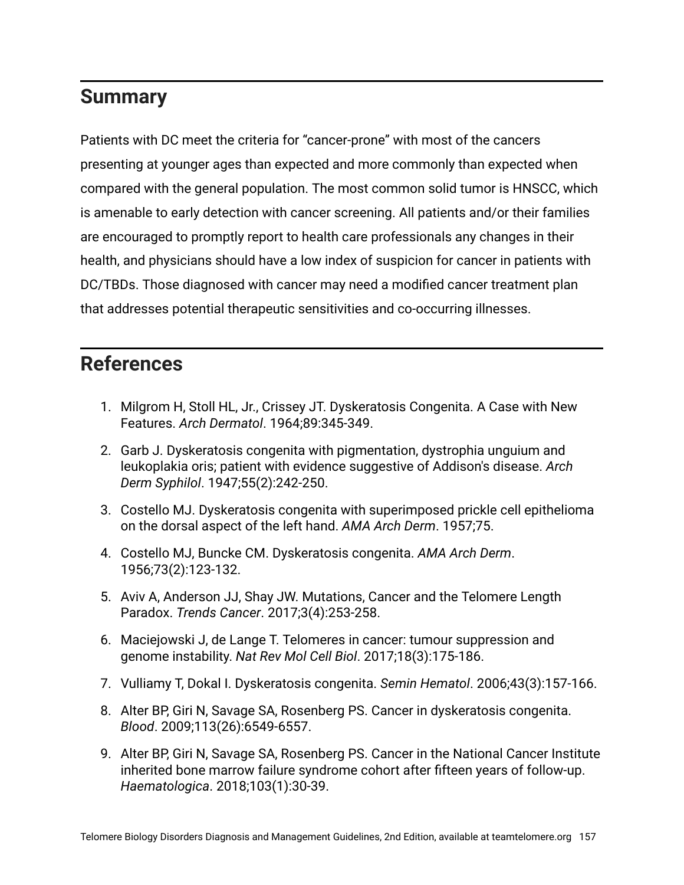## **Summary**

Patients with DC meet the criteria for "cancer-prone" with most of the cancers presenting at younger ages than expected and more commonly than expected when compared with the general population. The most common solid tumor is HNSCC, which is amenable to early detection with cancer screening. All patients and/or their families are encouraged to promptly report to health care professionals any changes in their health, and physicians should have a low index of suspicion for cancer in patients with DC/TBDs. Those diagnosed with cancer may need a modified cancer treatment plan that addresses potential therapeutic sensitivities and co-occurring illnesses.

## **References**

- 1. Milgrom H, Stoll HL, Jr., Crissey JT. Dyskeratosis Congenita. A Case with New Features. *Arch Dermatol*. 1964;89:345-349.
- 2. Garb J. Dyskeratosis congenita with pigmentation, dystrophia unguium and leukoplakia oris; patient with evidence suggestive of Addison's disease. *Arch Derm Syphilol*. 1947;55(2):242-250.
- 3. Costello MJ. Dyskeratosis congenita with superimposed prickle cell epithelioma on the dorsal aspect of the left hand. *AMA Arch Derm*. 1957;75.
- 4. Costello MJ, Buncke CM. Dyskeratosis congenita. *AMA Arch Derm*. 1956;73(2):123-132.
- 5. Aviv A, Anderson JJ, Shay JW. Mutations, Cancer and the Telomere Length Paradox. *Trends Cancer*. 2017;3(4):253-258.
- 6. Maciejowski J, de Lange T. Telomeres in cancer: tumour suppression and genome instability. *Nat Rev Mol Cell Biol*. 2017;18(3):175-186.
- 7. Vulliamy T, Dokal I. Dyskeratosis congenita. *Semin Hematol*. 2006;43(3):157-166.
- 8. Alter BP, Giri N, Savage SA, Rosenberg PS. Cancer in dyskeratosis congenita. *Blood*. 2009;113(26):6549-6557.
- 9. Alter BP, Giri N, Savage SA, Rosenberg PS. Cancer in the National Cancer Institute inherited bone marrow failure syndrome cohort after fifteen years of follow-up. *Haematologica*. 2018;103(1):30-39.